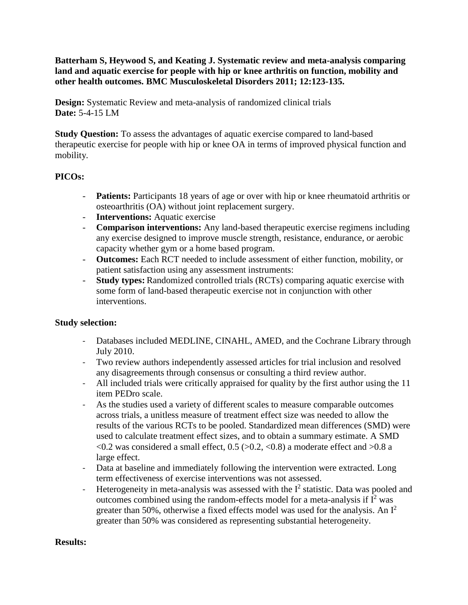**Batterham S, Heywood S, and Keating J. Systematic review and meta-analysis comparing land and aquatic exercise for people with hip or knee arthritis on function, mobility and other health outcomes. BMC Musculoskeletal Disorders 2011; 12:123-135.**

**Design:** Systematic Review and meta-analysis of randomized clinical trials **Date:** 5-4-15 LM

**Study Question:** To assess the advantages of aquatic exercise compared to land-based therapeutic exercise for people with hip or knee OA in terms of improved physical function and mobility.

# **PICOs:**

- **Patients:** Participants 18 years of age or over with hip or knee rheumatoid arthritis or osteoarthritis (OA) without joint replacement surgery.
- **Interventions:** Aquatic exercise
- **Comparison interventions:** Any land-based therapeutic exercise regimens including any exercise designed to improve muscle strength, resistance, endurance, or aerobic capacity whether gym or a home based program.
- **Outcomes:** Each RCT needed to include assessment of either function, mobility, or patient satisfaction using any assessment instruments:
- **Study types:** Randomized controlled trials (RCTs) comparing aquatic exercise with some form of land-based therapeutic exercise not in conjunction with other interventions.

### **Study selection:**

- Databases included MEDLINE, CINAHL, AMED, and the Cochrane Library through July 2010.
- Two review authors independently assessed articles for trial inclusion and resolved any disagreements through consensus or consulting a third review author.
- All included trials were critically appraised for quality by the first author using the 11 item PEDro scale.
- As the studies used a variety of different scales to measure comparable outcomes across trials, a unitless measure of treatment effect size was needed to allow the results of the various RCTs to be pooled. Standardized mean differences (SMD) were used to calculate treatment effect sizes, and to obtain a summary estimate. A SMD  $\langle 0.2 \text{ was considered a small effect}, 0.5 \langle >0.2, \langle 0.8 \rangle$  a moderate effect and  $>0.8$  a large effect.
- Data at baseline and immediately following the intervention were extracted. Long term effectiveness of exercise interventions was not assessed.
- Heterogeneity in meta-analysis was assessed with the  $I^2$  statistic. Data was pooled and outcomes combined using the random-effects model for a meta-analysis if  $I^2$  was greater than 50%, otherwise a fixed effects model was used for the analysis. An  $I^2$ greater than 50% was considered as representing substantial heterogeneity.

### **Results:**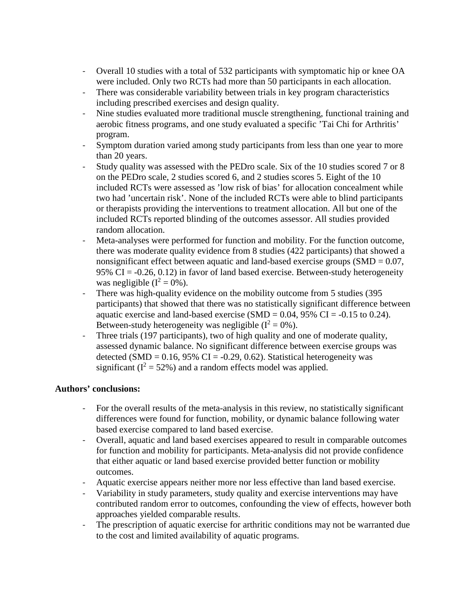- Overall 10 studies with a total of 532 participants with symptomatic hip or knee OA were included. Only two RCTs had more than 50 participants in each allocation.
- There was considerable variability between trials in key program characteristics including prescribed exercises and design quality.
- Nine studies evaluated more traditional muscle strengthening, functional training and aerobic fitness programs, and one study evaluated a specific 'Tai Chi for Arthritis' program.
- Symptom duration varied among study participants from less than one year to more than 20 years.
- Study quality was assessed with the PEDro scale. Six of the 10 studies scored 7 or 8 on the PEDro scale, 2 studies scored 6, and 2 studies scores 5. Eight of the 10 included RCTs were assessed as 'low risk of bias' for allocation concealment while two had 'uncertain risk'. None of the included RCTs were able to blind participants or therapists providing the interventions to treatment allocation. All but one of the included RCTs reported blinding of the outcomes assessor. All studies provided random allocation.
- Meta-analyses were performed for function and mobility. For the function outcome, there was moderate quality evidence from 8 studies (422 participants) that showed a nonsignificant effect between aquatic and land-based exercise groups  $(SMD = 0.07)$ , 95% CI =  $-0.26$ , 0.12) in favor of land based exercise. Between-study heterogeneity was negligible  $(I^2 = 0\%)$ .
- There was high-quality evidence on the mobility outcome from 5 studies (395) participants) that showed that there was no statistically significant difference between aquatic exercise and land-based exercise (SMD =  $0.04$ , 95% CI =  $-0.15$  to 0.24). Between-study heterogeneity was negligible  $(I^2 = 0\%)$ .
- Three trials (197 participants), two of high quality and one of moderate quality, assessed dynamic balance. No significant difference between exercise groups was detected (SMD =  $0.16$ , 95% CI =  $-0.29$ , 0.62). Statistical heterogeneity was significant ( $I^2 = 52\%$ ) and a random effects model was applied.

### **Authors' conclusions:**

- For the overall results of the meta-analysis in this review, no statistically significant differences were found for function, mobility, or dynamic balance following water based exercise compared to land based exercise.
- Overall, aquatic and land based exercises appeared to result in comparable outcomes for function and mobility for participants. Meta-analysis did not provide confidence that either aquatic or land based exercise provided better function or mobility outcomes.
- Aquatic exercise appears neither more nor less effective than land based exercise.
- Variability in study parameters, study quality and exercise interventions may have contributed random error to outcomes, confounding the view of effects, however both approaches yielded comparable results.
- The prescription of aquatic exercise for arthritic conditions may not be warranted due to the cost and limited availability of aquatic programs.